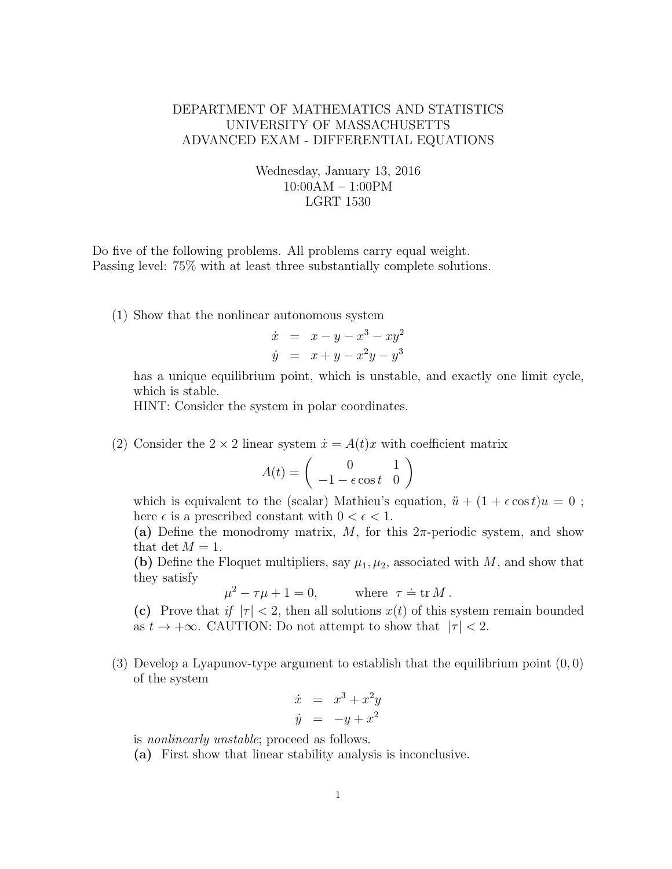## DEPARTMENT OF MATHEMATICS AND STATISTICS UNIVERSITY OF MASSACHUSETTS ADVANCED EXAM - DIFFERENTIAL EQUATIONS

## Wednesday, January 13, 2016 10:00AM – 1:00PM LGRT 1530

Do five of the following problems. All problems carry equal weight. Passing level: 75% with at least three substantially complete solutions.

(1) Show that the nonlinear autonomous system

$$
\dot{x} = x - y - x^3 - xy^2
$$
  

$$
\dot{y} = x + y - x^2y - y^3
$$

has a unique equilibrium point, which is unstable, and exactly one limit cycle, which is stable.

HINT: Consider the system in polar coordinates.

(2) Consider the  $2 \times 2$  linear system  $\dot{x} = A(t)x$  with coefficient matrix

$$
A(t) = \begin{pmatrix} 0 & 1\\ -1 - \epsilon \cos t & 0 \end{pmatrix}
$$

which is equivalent to the (scalar) Mathieu's equation,  $\ddot{u} + (1 + \epsilon \cos t)u = 0$ ; here  $\epsilon$  is a prescribed constant with  $0 < \epsilon < 1$ .

(a) Define the monodromy matrix, M, for this  $2\pi$ -periodic system, and show that det  $M = 1$ .

(b) Define the Floquet multipliers, say  $\mu_1, \mu_2$ , associated with M, and show that they satisfy

 $\mu^2 - \tau \mu + 1 = 0$ , where  $\tau$ where  $\tau \doteq \text{tr } M$ .

(c) Prove that if  $|\tau| < 2$ , then all solutions  $x(t)$  of this system remain bounded as  $t \to +\infty$ . CAUTION: Do not attempt to show that  $|\tau| < 2$ .

(3) Develop a Lyapunov-type argument to establish that the equilibrium point  $(0, 0)$ of the system

$$
\dot{x} = x^3 + x^2y
$$
  

$$
\dot{y} = -y + x^2
$$

is nonlinearly unstable; proceed as follows.

(a) First show that linear stability analysis is inconclusive.